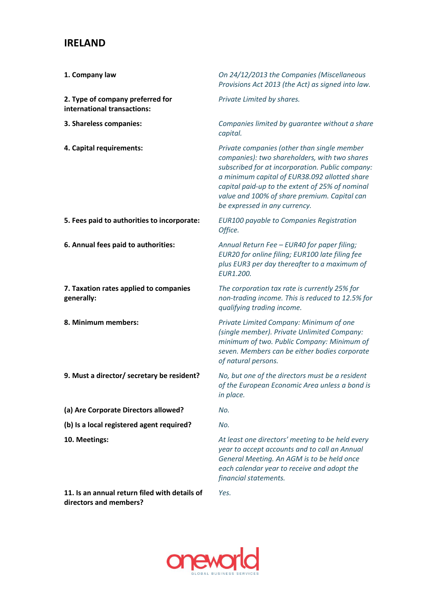## **IRELAND**

| 1. Company law                                                  | On 24/12/2013 the Companies (Miscellaneous<br>Provisions Act 2013 (the Act) as signed into law.                                                                                                                                                                                                                                       |
|-----------------------------------------------------------------|---------------------------------------------------------------------------------------------------------------------------------------------------------------------------------------------------------------------------------------------------------------------------------------------------------------------------------------|
| 2. Type of company preferred for<br>international transactions: | Private Limited by shares.                                                                                                                                                                                                                                                                                                            |
| 3. Shareless companies:                                         | Companies limited by guarantee without a share<br>capital.                                                                                                                                                                                                                                                                            |
| 4. Capital requirements:                                        | Private companies (other than single member<br>companies): two shareholders, with two shares<br>subscribed for at incorporation. Public company:<br>a minimum capital of EUR38.092 allotted share<br>capital paid-up to the extent of 25% of nominal<br>value and 100% of share premium. Capital can<br>be expressed in any currency. |
| 5. Fees paid to authorities to incorporate:                     | <b>EUR100 payable to Companies Registration</b><br>Office.                                                                                                                                                                                                                                                                            |
| 6. Annual fees paid to authorities:                             | Annual Return Fee - EUR40 for paper filing;<br>EUR20 for online filing; EUR100 late filing fee<br>plus EUR3 per day thereafter to a maximum of<br>EUR1.200.                                                                                                                                                                           |
| 7. Taxation rates applied to companies<br>generally:            | The corporation tax rate is currently 25% for<br>non-trading income. This is reduced to 12.5% for<br>qualifying trading income.                                                                                                                                                                                                       |
| 8. Minimum members:                                             | Private Limited Company: Minimum of one<br>(single member). Private Unlimited Company:<br>minimum of two. Public Company: Minimum of<br>seven. Members can be either bodies corporate<br>of natural persons.                                                                                                                          |
| 9. Must a director/ secretary be resident?                      | No, but one of the directors must be a resident<br>of the European Economic Area unless a bond is<br>in place.                                                                                                                                                                                                                        |
| (a) Are Corporate Directors allowed?                            | No.                                                                                                                                                                                                                                                                                                                                   |
| (b) Is a local registered agent required?                       | No.                                                                                                                                                                                                                                                                                                                                   |
| 10. Meetings:                                                   | At least one directors' meeting to be held every<br>year to accept accounts and to call an Annual<br>General Meeting. An AGM is to be held once                                                                                                                                                                                       |

**11. Is an annual return filed with details of directors and members?**



*Yes.* 

*each calendar year to receive and adopt the* 

*financial statements.*